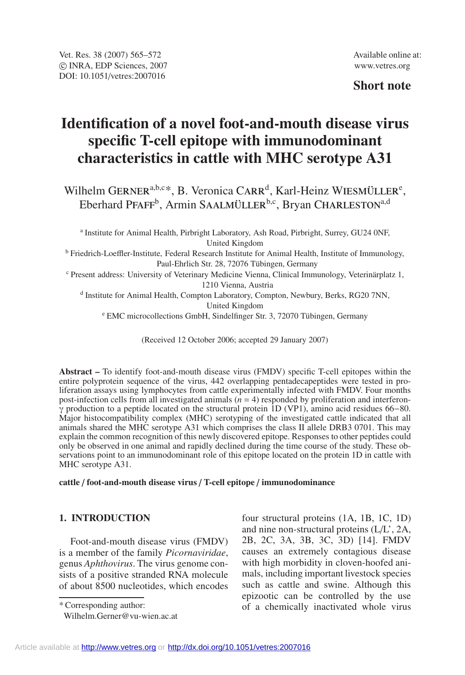## **Short note**

# **Identification of a novel foot-and-mouth disease virus specific T-cell epitope with immunodominant characteristics in cattle with MHC serotype A31**

Wilhelm GERNER<sup>a,b,c\*</sup>, B. Veronica CARR<sup>d</sup>, Karl-Heinz WIESMÜLLER<sup>e</sup>, Eberhard PFAFF<sup>b</sup>, Armin SAALMÜLLER<sup>b,c</sup>, Bryan CHARLESTON<sup>a,d</sup>

<sup>a</sup> Institute for Animal Health, Pirbright Laboratory, Ash Road, Pirbright, Surrey, GU24 0NF, United Kingdom <sup>b</sup> Friedrich-Loeffler-Institute, Federal Research Institute for Animal Health, Institute of Immunology, Paul-Ehrlich Str. 28, 72076 Tübingen, Germany

<sup>c</sup> Present address: University of Veterinary Medicine Vienna, Clinical Immunology, Veterinärplatz 1, 1210 Vienna, Austria

<sup>d</sup> Institute for Animal Health, Compton Laboratory, Compton, Newbury, Berks, RG20 7NN, United Kingdom

<sup>e</sup> EMC microcollections GmbH, Sindelfinger Str. 3, 72070 Tübingen, Germany

(Received 12 October 2006; accepted 29 January 2007)

**Abstract –** To identify foot-and-mouth disease virus (FMDV) specific T-cell epitopes within the entire polyprotein sequence of the virus, 442 overlapping pentadecapeptides were tested in proliferation assays using lymphocytes from cattle experimentally infected with FMDV. Four months post-infection cells from all investigated animals  $(n = 4)$  responded by proliferation and interferon- $\gamma$  production to a peptide located on the structural protein 1D (VP1), amino acid residues 66–80. Major histocompatibility complex (MHC) serotyping of the investigated cattle indicated that all animals shared the MHC serotype A31 which comprises the class II allele DRB3 0701. This may explain the common recognition of this newly discovered epitope. Responses to other peptides could only be observed in one animal and rapidly declined during the time course of the study. These observations point to an immunodominant role of this epitope located on the protein 1D in cattle with MHC serotype A31.

#### **cattle** / **foot-and-mouth disease virus** / **T-cell epitope** / **immunodominance**

## **1. INTRODUCTION**

Foot-and-mouth disease virus (FMDV) is a member of the family *Picornaviridae*, genus *Aphthovirus*. The virus genome consists of a positive stranded RNA molecule of about 8500 nucleotides, which encodes

\* Corresponding author:

four structural proteins (1A, 1B, 1C, 1D) and nine non-structural proteins (L/L', 2A, 2B, 2C, 3A, 3B, 3C, 3D) [14]. FMDV causes an extremely contagious disease with high morbidity in cloven-hoofed animals, including important livestock species such as cattle and swine. Although this epizootic can be controlled by the use of a chemically inactivated whole virus

Wilhelm.Gerner@vu-wien.ac.at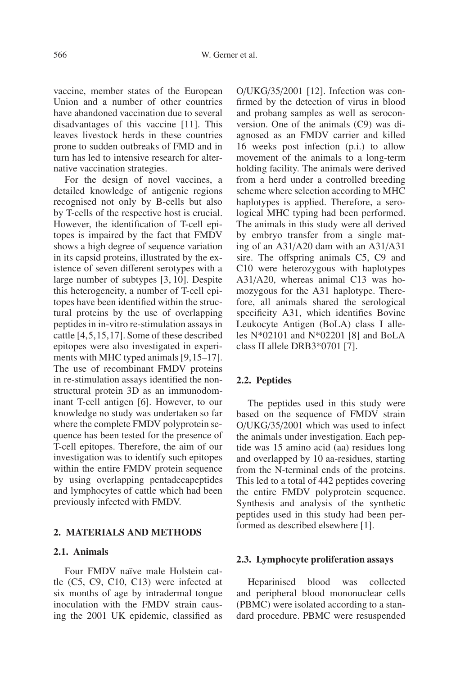vaccine, member states of the European Union and a number of other countries have abandoned vaccination due to several disadvantages of this vaccine [11]. This leaves livestock herds in these countries prone to sudden outbreaks of FMD and in turn has led to intensive research for alternative vaccination strategies.

For the design of novel vaccines, a detailed knowledge of antigenic regions recognised not only by B-cells but also by T-cells of the respective host is crucial. However, the identification of T-cell epitopes is impaired by the fact that FMDV shows a high degree of sequence variation in its capsid proteins, illustrated by the existence of seven different serotypes with a large number of subtypes [3, 10]. Despite this heterogeneity, a number of T-cell epitopes have been identified within the structural proteins by the use of overlapping peptides in in-vitro re-stimulation assays in cattle [4,5,15,17]. Some of these described epitopes were also investigated in experiments with MHC typed animals [9,15–17]. The use of recombinant FMDV proteins in re-stimulation assays identified the nonstructural protein 3D as an immunodominant T-cell antigen [6]. However, to our knowledge no study was undertaken so far where the complete FMDV polyprotein sequence has been tested for the presence of T-cell epitopes. Therefore, the aim of our investigation was to identify such epitopes within the entire FMDV protein sequence by using overlapping pentadecapeptides and lymphocytes of cattle which had been previously infected with FMDV.

## **2. MATERIALS AND METHODS**

#### **2.1. Animals**

Four FMDV naïve male Holstein cattle (C5, C9, C10, C13) were infected at six months of age by intradermal tongue inoculation with the FMDV strain causing the 2001 UK epidemic, classified as O/UKG/35/2001 [12]. Infection was confirmed by the detection of virus in blood and probang samples as well as seroconversion. One of the animals (C9) was diagnosed as an FMDV carrier and killed 16 weeks post infection (p.i.) to allow movement of the animals to a long-term holding facility. The animals were derived from a herd under a controlled breeding scheme where selection according to MHC haplotypes is applied. Therefore, a serological MHC typing had been performed. The animals in this study were all derived by embryo transfer from a single mating of an A31/A20 dam with an A31/A31 sire. The offspring animals C5, C9 and C10 were heterozygous with haplotypes A31/A20, whereas animal C13 was homozygous for the A31 haplotype. Therefore, all animals shared the serological specificity A31, which identifies Bovine Leukocyte Antigen (BoLA) class I alleles N\*02101 and N\*02201 [8] and BoLA class II allele DRB3\*0701 [7].

#### **2.2. Peptides**

The peptides used in this study were based on the sequence of FMDV strain O/UKG/35/2001 which was used to infect the animals under investigation. Each peptide was 15 amino acid (aa) residues long and overlapped by 10 aa-residues, starting from the N-terminal ends of the proteins. This led to a total of 442 peptides covering the entire FMDV polyprotein sequence. Synthesis and analysis of the synthetic peptides used in this study had been performed as described elsewhere [1].

#### **2.3. Lymphocyte proliferation assays**

Heparinised blood was collected and peripheral blood mononuclear cells (PBMC) were isolated according to a standard procedure. PBMC were resuspended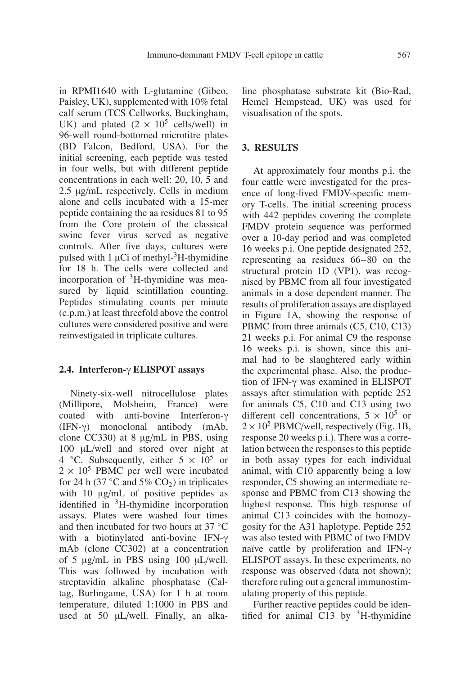in RPMI1640 with L-glutamine (Gibco, Paisley, UK), supplemented with 10% fetal calf serum (TCS Cellworks, Buckingham, UK) and plated  $(2 \times 10^5 \text{ cells/well})$  in 96-well round-bottomed microtitre plates (BD Falcon, Bedford, USA). For the initial screening, each peptide was tested in four wells, but with different peptide concentrations in each well: 20, 10, 5 and 2.5 μg/mL respectively. Cells in medium alone and cells incubated with a 15-mer peptide containing the aa residues 81 to 95 from the Core protein of the classical swine fever virus served as negative controls. After five days, cultures were pulsed with 1  $\mu$ Ci of methyl-<sup>3</sup>H-thymidine for 18 h. The cells were collected and incorporation of  ${}^{3}$ H-thymidine was measured by liquid scintillation counting. Peptides stimulating counts per minute (c.p.m.) at least threefold above the control cultures were considered positive and were reinvestigated in triplicate cultures.

#### **2.4. Interferon-**γ **ELISPOT assays**

Ninety-six-well nitrocellulose plates (Millipore, Molsheim, France) were coated with anti-bovine Interferon-γ (IFN-γ) monoclonal antibody (mAb, clone CC330) at 8 μg/mL in PBS, using 100 μL/well and stored over night at 4  $°C$ . Subsequently, either  $5 \times 10^5$  or  $2 \times 10^5$  PBMC per well were incubated for 24 h (37  $°C$  and 5% CO<sub>2</sub>) in triplicates with 10 μg/mL of positive peptides as identified in 3H-thymidine incorporation assays. Plates were washed four times and then incubated for two hours at 37 ◦C with a biotinylated anti-bovine IFN-γ mAb (clone CC302) at a concentration of 5 μg/mL in PBS using 100 μL/well. This was followed by incubation with streptavidin alkaline phosphatase (Caltag, Burlingame, USA) for 1 h at room temperature, diluted 1:1000 in PBS and used at 50 μL/well. Finally, an alkaline phosphatase substrate kit (Bio-Rad, Hemel Hempstead, UK) was used for visualisation of the spots.

#### **3. RESULTS**

At approximately four months p.i. the four cattle were investigated for the presence of long-lived FMDV-specific memory T-cells. The initial screening process with 442 peptides covering the complete FMDV protein sequence was performed over a 10-day period and was completed 16 weeks p.i. One peptide designated 252, representing aa residues 66−80 on the structural protein 1D (VP1), was recognised by PBMC from all four investigated animals in a dose dependent manner. The results of proliferation assays are displayed in Figure 1A, showing the response of PBMC from three animals (C5, C10, C13) 21 weeks p.i. For animal C9 the response 16 weeks p.i. is shown, since this animal had to be slaughtered early within the experimental phase. Also, the production of IFN-γ was examined in ELISPOT assays after stimulation with peptide 252 for animals C5, C10 and C13 using two different cell concentrations,  $5 \times 10^5$  or  $2 \times 10^5$  PBMC/well, respectively (Fig. 1B, response 20 weeks p.i.). There was a correlation between the responses to this peptide in both assay types for each individual animal, with C10 apparently being a low responder, C5 showing an intermediate response and PBMC from C13 showing the highest response. This high response of animal C13 coincides with the homozygosity for the A31 haplotype. Peptide 252 was also tested with PBMC of two FMDV naïve cattle by proliferation and IFN-γ ELISPOT assays. In these experiments, no response was observed (data not shown); therefore ruling out a general immunostimulating property of this peptide.

Further reactive peptides could be identified for animal C13 by  $3H$ -thymidine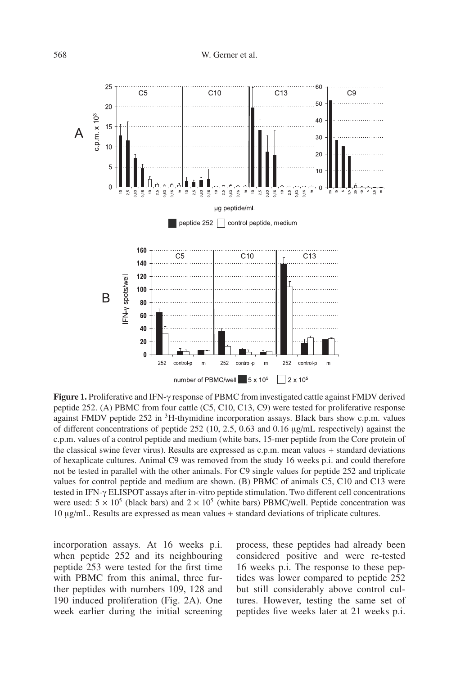

**Figure 1.** Proliferative and IFN-γ response of PBMC from investigated cattle against FMDV derived peptide 252. (A) PBMC from four cattle (C5, C10, C13, C9) were tested for proliferative response against FMDV peptide  $252$  in  ${}^{3}$ H-thymidine incorporation assays. Black bars show c.p.m. values of different concentrations of peptide 252 (10, 2.5, 0.63 and 0.16 μg/mL respectively) against the c.p.m. values of a control peptide and medium (white bars, 15-mer peptide from the Core protein of the classical swine fever virus). Results are expressed as c.p.m. mean values + standard deviations of hexaplicate cultures. Animal C9 was removed from the study 16 weeks p.i. and could therefore not be tested in parallel with the other animals. For C9 single values for peptide 252 and triplicate values for control peptide and medium are shown. (B) PBMC of animals C5, C10 and C13 were tested in IFN-γ ELISPOT assays after in-vitro peptide stimulation. Two different cell concentrations were used:  $5 \times 10^5$  (black bars) and  $2 \times 10^5$  (white bars) PBMC/well. Peptide concentration was 10 μg/mL. Results are expressed as mean values + standard deviations of triplicate cultures.

incorporation assays. At 16 weeks p.i. when peptide 252 and its neighbouring peptide 253 were tested for the first time with PBMC from this animal, three further peptides with numbers 109, 128 and 190 induced proliferation (Fig. 2A). One week earlier during the initial screening

process, these peptides had already been considered positive and were re-tested 16 weeks p.i. The response to these peptides was lower compared to peptide 252 but still considerably above control cultures. However, testing the same set of peptides five weeks later at 21 weeks p.i.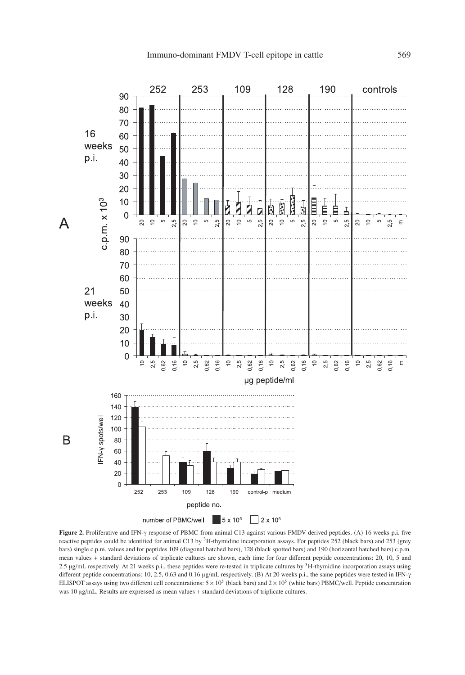

**Figure 2.** Proliferative and IFN-γ response of PBMC from animal C13 against various FMDV derived peptides. (A) 16 weeks p.i. five reactive peptides could be identified for animal C13 by <sup>3</sup>H-thymidine incorporation assays. For peptides 252 (black bars) and 253 (grey bars) single c.p.m. values and for peptides 109 (diagonal hatched bars), 128 (black spotted bars) and 190 (horizontal hatched bars) c.p.m. mean values + standard deviations of triplicate cultures are shown, each time for four different peptide concentrations: 20, 10, 5 and 2.5 μg/mL respectively. At 21 weeks p.i., these peptides were re-tested in triplicate cultures by 3H-thymidine incorporation assays using different peptide concentrations: 10, 2.5, 0.63 and 0.16 μg/mL respectively. (B) At 20 weeks p.i., the same peptides were tested in IFN-γ ELISPOT assays using two different cell concentrations:  $5 \times 10^5$  (black bars) and  $2 \times 10^5$  (white bars) PBMC/well. Peptide concentration was 10 μg/mL. Results are expressed as mean values + standard deviations of triplicate cultures.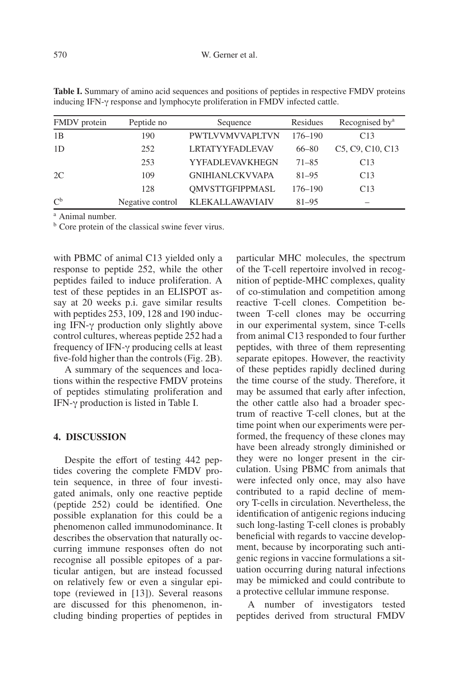| FMDV protein | Peptide no       | Sequence               | Residues    | Recognised by <sup>a</sup>                                          |
|--------------|------------------|------------------------|-------------|---------------------------------------------------------------------|
| 1B           | 190              | <b>PWTLVVMVVAPLTVN</b> | $176 - 190$ | C13                                                                 |
| 1D           | 252              | <b>LRTATYYFADLEVAV</b> | $66 - 80$   | C <sub>5</sub> , C <sub>9</sub> , C <sub>10</sub> , C <sub>13</sub> |
|              | 253              | <b>YYFADLEVAVKHEGN</b> | $71 - 85$   | C13                                                                 |
| 2C           | 109              | <b>GNIHIANLCKVVAPA</b> | $81 - 95$   | C13                                                                 |
|              | 128              | <b>OMVSTTGFIPPMASL</b> | $176 - 190$ | C13                                                                 |
| $C^{\rm b}$  | Negative control | KLEKALLAWAVIAIV        | $81 - 95$   |                                                                     |

**Table I.** Summary of amino acid sequences and positions of peptides in respective FMDV proteins inducing IFN-γ response and lymphocyte proliferation in FMDV infected cattle.

<sup>a</sup> Animal number.

<sup>b</sup> Core protein of the classical swine fever virus.

with PBMC of animal C13 yielded only a response to peptide 252, while the other peptides failed to induce proliferation. A test of these peptides in an ELISPOT assay at 20 weeks p.i. gave similar results with peptides 253, 109, 128 and 190 inducing IFN-γ production only slightly above control cultures, whereas peptide 252 had a frequency of IFN-γ producing cells at least five-fold higher than the controls (Fig. 2B).

A summary of the sequences and locations within the respective FMDV proteins of peptides stimulating proliferation and IFN-γ production is listed in Table I.

#### **4. DISCUSSION**

Despite the effort of testing 442 peptides covering the complete FMDV protein sequence, in three of four investigated animals, only one reactive peptide (peptide 252) could be identified. One possible explanation for this could be a phenomenon called immunodominance. It describes the observation that naturally occurring immune responses often do not recognise all possible epitopes of a particular antigen, but are instead focussed on relatively few or even a singular epitope (reviewed in [13]). Several reasons are discussed for this phenomenon, including binding properties of peptides in particular MHC molecules, the spectrum of the T-cell repertoire involved in recognition of peptide-MHC complexes, quality of co-stimulation and competition among reactive T-cell clones. Competition between T-cell clones may be occurring in our experimental system, since T-cells from animal C13 responded to four further peptides, with three of them representing separate epitopes. However, the reactivity of these peptides rapidly declined during the time course of the study. Therefore, it may be assumed that early after infection, the other cattle also had a broader spectrum of reactive T-cell clones, but at the time point when our experiments were performed, the frequency of these clones may have been already strongly diminished or they were no longer present in the circulation. Using PBMC from animals that were infected only once, may also have contributed to a rapid decline of memory T-cells in circulation. Nevertheless, the identification of antigenic regions inducing such long-lasting T-cell clones is probably beneficial with regards to vaccine development, because by incorporating such antigenic regions in vaccine formulations a situation occurring during natural infections may be mimicked and could contribute to a protective cellular immune response.

A number of investigators tested peptides derived from structural FMDV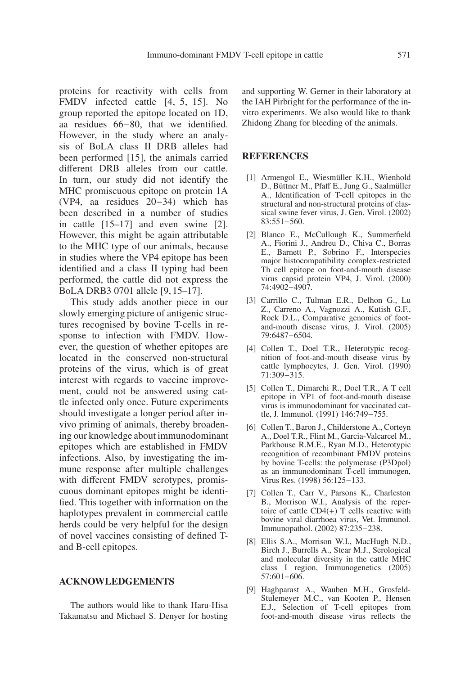proteins for reactivity with cells from FMDV infected cattle [4, 5, 15]. No group reported the epitope located on 1D, aa residues 66−80, that we identified. However, in the study where an analysis of BoLA class II DRB alleles had been performed [15], the animals carried different DRB alleles from our cattle. In turn, our study did not identify the MHC promiscuous epitope on protein 1A (VP4, aa residues 20−34) which has been described in a number of studies in cattle [15–17] and even swine [2]. However, this might be again attributable to the MHC type of our animals, because in studies where the VP4 epitope has been identified and a class II typing had been performed, the cattle did not express the BoLA DRB3 0701 allele [9, 15–17].

This study adds another piece in our slowly emerging picture of antigenic structures recognised by bovine T-cells in response to infection with FMDV. However, the question of whether epitopes are located in the conserved non-structural proteins of the virus, which is of great interest with regards to vaccine improvement, could not be answered using cattle infected only once. Future experiments should investigate a longer period after invivo priming of animals, thereby broadening our knowledge about immunodominant epitopes which are established in FMDV infections. Also, by investigating the immune response after multiple challenges with different FMDV serotypes, promiscuous dominant epitopes might be identified. This together with information on the haplotypes prevalent in commercial cattle herds could be very helpful for the design of novel vaccines consisting of defined Tand B-cell epitopes.

## **ACKNOWLEDGEMENTS**

The authors would like to thank Haru-Hisa Takamatsu and Michael S. Denyer for hosting and supporting W. Gerner in their laboratory at the IAH Pirbright for the performance of the invitro experiments. We also would like to thank Zhidong Zhang for bleeding of the animals.

#### **REFERENCES**

- [1] Armengol E., Wiesmüller K.H., Wienhold D., Büttner M., Pfaff E., Jung G., Saalmüller A., Identification of T-cell epitopes in the structural and non-structural proteins of classical swine fever virus, J. Gen. Virol. (2002) 83:551−560.
- [2] Blanco E., McCullough K., Summerfield A., Fiorini J., Andreu D., Chiva C., Borras E., Barnett P., Sobrino F., Interspecies major histocompatibility complex-restricted Th cell epitope on foot-and-mouth disease virus capsid protein VP4, J. Virol. (2000) 74:4902−4907.
- [3] Carrillo C., Tulman E.R., Delhon G., Lu Z., Carreno A., Vagnozzi A., Kutish G.F., Rock D.L., Comparative genomics of footand-mouth disease virus, J. Virol. (2005) 79:6487−6504.
- [4] Collen T., Doel T.R., Heterotypic recognition of foot-and-mouth disease virus by cattle lymphocytes, J. Gen. Virol. (1990) 71:309−315.
- [5] Collen T., Dimarchi R., Doel T.R., A T cell epitope in VP1 of foot-and-mouth disease virus is immunodominant for vaccinated cattle, J. Immunol. (1991) 146:749−755.
- [6] Collen T., Baron J., Childerstone A., Corteyn A., Doel T.R., Flint M., Garcia-Valcarcel M., Parkhouse R.M.E., Ryan M.D., Heterotypic recognition of recombinant FMDV proteins by bovine T-cells: the polymerase (P3Dpol) as an immunodominant T-cell immunogen, Virus Res. (1998) 56:125−133.
- [7] Collen T., Carr V., Parsons K., Charleston B., Morrison W.I., Analysis of the repertoire of cattle  $CD4(+)$  T cells reactive with bovine viral diarrhoea virus, Vet. Immunol. Immunopathol. (2002) 87:235−238.
- [8] Ellis S.A., Morrison W.I., MacHugh N.D., Birch J., Burrells A., Stear M.J., Serological and molecular diversity in the cattle MHC class I region, Immunogenetics (2005) 57:601−606.
- [9] Haghparast A., Wauben M.H., Grosfeld-Stulemeyer M.C., van Kooten P., Hensen E.J., Selection of T-cell epitopes from foot-and-mouth disease virus reflects the